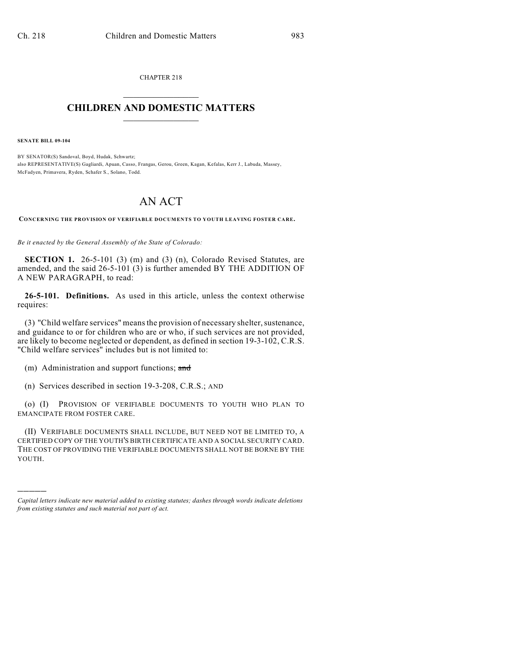CHAPTER 218  $\overline{\phantom{a}}$  . The set of the set of the set of the set of the set of the set of the set of the set of the set of the set of the set of the set of the set of the set of the set of the set of the set of the set of the set o

## **CHILDREN AND DOMESTIC MATTERS**  $\_$

**SENATE BILL 09-104**

)))))

BY SENATOR(S) Sandoval, Boyd, Hudak, Schwartz; also REPRESENTATIVE(S) Gagliardi, Apuan, Casso, Frangas, Gerou, Green, Kagan, Kefalas, Kerr J., Labuda, Massey, McFadyen, Primavera, Ryden, Schafer S., Solano, Todd.

## AN ACT

**CONCERNING THE PROVISION OF VERIFIABLE DOCUMENTS TO YOUTH LEAVING FOSTER CARE.**

*Be it enacted by the General Assembly of the State of Colorado:*

**SECTION 1.** 26-5-101 (3) (m) and (3) (n), Colorado Revised Statutes, are amended, and the said 26-5-101 (3) is further amended BY THE ADDITION OF A NEW PARAGRAPH, to read:

**26-5-101. Definitions.** As used in this article, unless the context otherwise requires:

(3) "Child welfare services" means the provision of necessary shelter, sustenance, and guidance to or for children who are or who, if such services are not provided, are likely to become neglected or dependent, as defined in section 19-3-102, C.R.S. "Child welfare services" includes but is not limited to:

(m) Administration and support functions; and

(n) Services described in section 19-3-208, C.R.S.; AND

(o) (I) PROVISION OF VERIFIABLE DOCUMENTS TO YOUTH WHO PLAN TO EMANCIPATE FROM FOSTER CARE.

(II) VERIFIABLE DOCUMENTS SHALL INCLUDE, BUT NEED NOT BE LIMITED TO, A CERTIFIED COPY OF THE YOUTH'S BIRTH CERTIFICATE AND A SOCIAL SECURITY CARD. THE COST OF PROVIDING THE VERIFIABLE DOCUMENTS SHALL NOT BE BORNE BY THE YOUTH.

*Capital letters indicate new material added to existing statutes; dashes through words indicate deletions from existing statutes and such material not part of act.*